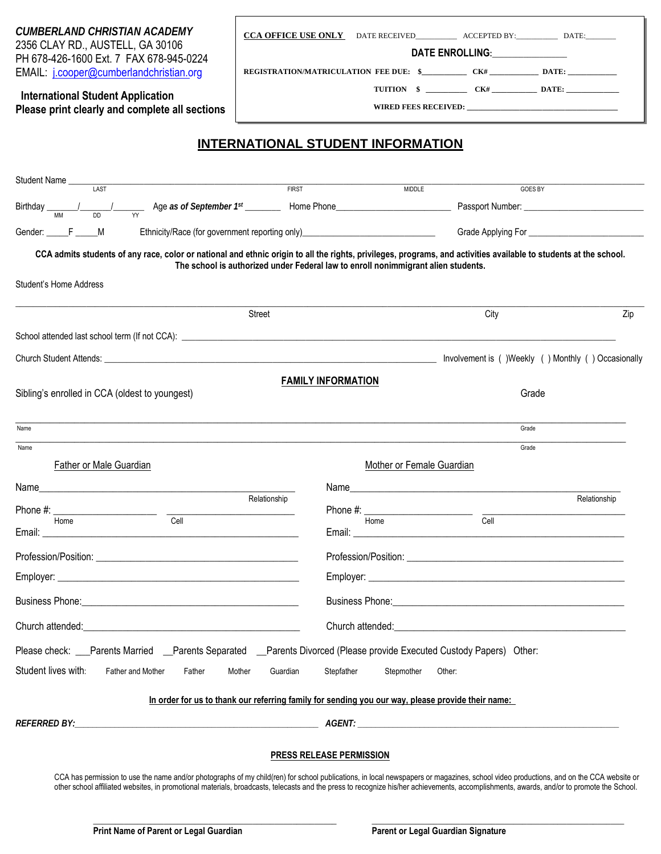| <b>CUMBERLAND CHRISTIAN ACADEMY</b> |                                                |  |  |  |
|-------------------------------------|------------------------------------------------|--|--|--|
|                                     | 2356 CLAY RD., AUSTELL, GA 30106               |  |  |  |
|                                     | PH 678-426-1600 Ext. 7 FAX 678-945-0224        |  |  |  |
|                                     | EMAIL: <i>j.cooper@cumberlandchristian.org</i> |  |  |  |

| <b>CCA OFFICE USE ONLY</b>                    | DATE RECEIVED |  | ACCEPTED BY: | DATE: |  |
|-----------------------------------------------|---------------|--|--------------|-------|--|
| <b>DATE ENROLLING:</b>                        |               |  |              |       |  |
| <b>REGISTRATION/MATRICULATION FEE DUE: \$</b> |               |  | CK#          | DATE: |  |

**WIRED FEES RECEIVED: \_\_\_\_\_\_\_\_\_\_\_\_\_\_\_\_\_\_\_\_\_\_\_\_\_\_\_\_\_\_\_\_\_\_\_\_\_\_\_\_**

 **TUITION \$ \_\_\_\_\_\_\_\_\_\_\_ CK# \_\_\_\_\_\_\_\_\_\_\_\_ DATE: \_\_\_\_\_\_\_\_\_\_\_\_\_\_**

### **International Student Application Please print clearly and complete all sections**

# **INTERNATIONAL STUDENT INFORMATION**

| Student Name<br><b>LAST</b><br><b>FIRST</b>                                                                                                                                                                                   | <b>MIDDLE</b><br>GOES BY                                                                                                                                                                                                                               |
|-------------------------------------------------------------------------------------------------------------------------------------------------------------------------------------------------------------------------------|--------------------------------------------------------------------------------------------------------------------------------------------------------------------------------------------------------------------------------------------------------|
|                                                                                                                                                                                                                               |                                                                                                                                                                                                                                                        |
|                                                                                                                                                                                                                               |                                                                                                                                                                                                                                                        |
| Ethnicity/Race (for government reporting only)__________________________________<br>Gender: F___________M                                                                                                                     |                                                                                                                                                                                                                                                        |
|                                                                                                                                                                                                                               | CCA admits students of any race, color or national and ethnic origin to all the rights, privileges, programs, and activities available to students at the school.<br>The school is authorized under Federal law to enroll nonimmigrant alien students. |
| Student's Home Address                                                                                                                                                                                                        |                                                                                                                                                                                                                                                        |
|                                                                                                                                                                                                                               |                                                                                                                                                                                                                                                        |
| <b>Street</b>                                                                                                                                                                                                                 | City<br>Zip                                                                                                                                                                                                                                            |
|                                                                                                                                                                                                                               |                                                                                                                                                                                                                                                        |
|                                                                                                                                                                                                                               | Involvement is ()Weekly () Monthly () Occasionally                                                                                                                                                                                                     |
|                                                                                                                                                                                                                               | <b>FAMILY INFORMATION</b>                                                                                                                                                                                                                              |
| Sibling's enrolled in CCA (oldest to youngest)                                                                                                                                                                                | Grade                                                                                                                                                                                                                                                  |
| Name                                                                                                                                                                                                                          | Grade                                                                                                                                                                                                                                                  |
| Name                                                                                                                                                                                                                          | Grade                                                                                                                                                                                                                                                  |
| Father or Male Guardian                                                                                                                                                                                                       | Mother or Female Guardian                                                                                                                                                                                                                              |
|                                                                                                                                                                                                                               |                                                                                                                                                                                                                                                        |
| Relationship                                                                                                                                                                                                                  | Relationship                                                                                                                                                                                                                                           |
| Email: $\_\_$<br><u> 2000 - Jan James James James James James James James James James James James James James James James James J</u>                                                                                         | Phone $\#$ : $\frac{1}{\text{Home}}$ $\frac{1}{\text{Cell}}$                                                                                                                                                                                           |
|                                                                                                                                                                                                                               |                                                                                                                                                                                                                                                        |
|                                                                                                                                                                                                                               |                                                                                                                                                                                                                                                        |
|                                                                                                                                                                                                                               |                                                                                                                                                                                                                                                        |
|                                                                                                                                                                                                                               |                                                                                                                                                                                                                                                        |
| Church attended: The contract of the contract of the contract of the contract of the contract of the contract of the contract of the contract of the contract of the contract of the contract of the contract of the contract | Church attended: The contract of the contract of the contract of the contract of the contract of the contract of the contract of the contract of the contract of the contract of the contract of the contract of the contract                          |
| Parents Separated<br>Please check:<br><b>Parents Married</b>                                                                                                                                                                  | Parents Divorced (Please provide Executed Custody Papers) Other:                                                                                                                                                                                       |
| Student lives with:<br>Father and Mother<br>Father<br>Mother<br>Guardian                                                                                                                                                      | Stepfather<br>Stepmother<br>Other:                                                                                                                                                                                                                     |
|                                                                                                                                                                                                                               |                                                                                                                                                                                                                                                        |
|                                                                                                                                                                                                                               | In order for us to thank our referring family for sending you our way, please provide their name:                                                                                                                                                      |
|                                                                                                                                                                                                                               |                                                                                                                                                                                                                                                        |
|                                                                                                                                                                                                                               | <b>PRESS RELEASE PERMISSION</b>                                                                                                                                                                                                                        |
|                                                                                                                                                                                                                               |                                                                                                                                                                                                                                                        |

CCA has permission to use the name and/or photographs of my child(ren) for school publications, in local newspapers or magazines, school video productions, and on the CCA website or other school affiliated websites, in promotional materials, broadcasts, telecasts and the press to recognize his/her achievements, accomplishments, awards, and/or to promote the School.